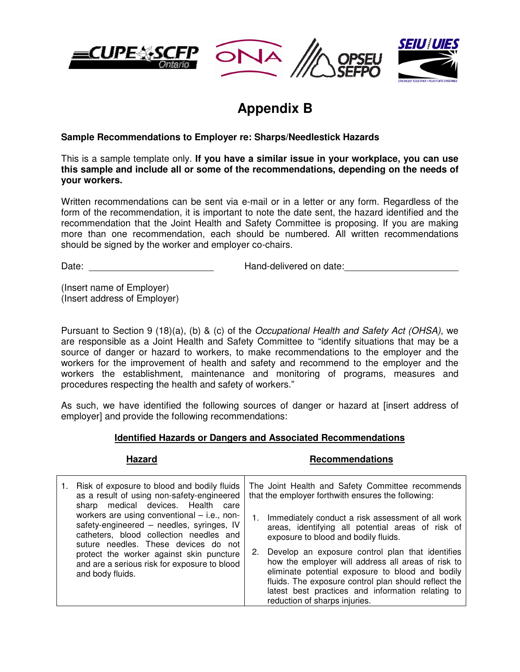





# **Appendix B**

## **Sample Recommendations to Employer re: Sharps/Needlestick Hazards**

This is a sample template only. **If you have a similar issue in your workplace, you can use this sample and include all or some of the recommendations, depending on the needs of your workers.** 

Written recommendations can be sent via e-mail or in a letter or any form. Regardless of the form of the recommendation, it is important to note the date sent, the hazard identified and the recommendation that the Joint Health and Safety Committee is proposing. If you are making more than one recommendation, each should be numbered. All written recommendations should be signed by the worker and employer co-chairs.

Date: Date: **Hand-delivered on date:** 

(Insert name of Employer) (Insert address of Employer)

Pursuant to Section 9 (18)(a), (b) & (c) of the Occupational Health and Safety Act (OHSA), we are responsible as a Joint Health and Safety Committee to "identify situations that may be a source of danger or hazard to workers, to make recommendations to the employer and the workers for the improvement of health and safety and recommend to the employer and the workers the establishment, maintenance and monitoring of programs, measures and procedures respecting the health and safety of workers."

As such, we have identified the following sources of danger or hazard at [insert address of employer] and provide the following recommendations:

### **Identified Hazards or Dangers and Associated Recommendations**

### Hazard **Recommendations**

| how the employer will address all areas of risk to<br>and are a serious risk for exposure to blood<br>eliminate potential exposure to blood and bodily<br>and body fluids.<br>fluids. The exposure control plan should reflect the<br>latest best practices and information relating to<br>reduction of sharps injuries. |  | Risk of exposure to blood and bodily fluids<br>as a result of using non-safety-engineered<br>sharp medical devices. Health<br>care<br>workers are using conventional $-$ i.e., non-<br>safety-engineered - needles, syringes, IV<br>catheters, blood collection needles and<br>suture needles. These devices do not<br>protect the worker against skin puncture | The Joint Health and Safety Committee recommends<br>that the employer forthwith ensures the following:<br>Immediately conduct a risk assessment of all work<br>areas, identifying all potential areas of risk of<br>exposure to blood and bodily fluids.<br>Develop an exposure control plan that identifies<br>2. |
|--------------------------------------------------------------------------------------------------------------------------------------------------------------------------------------------------------------------------------------------------------------------------------------------------------------------------|--|-----------------------------------------------------------------------------------------------------------------------------------------------------------------------------------------------------------------------------------------------------------------------------------------------------------------------------------------------------------------|--------------------------------------------------------------------------------------------------------------------------------------------------------------------------------------------------------------------------------------------------------------------------------------------------------------------|
|--------------------------------------------------------------------------------------------------------------------------------------------------------------------------------------------------------------------------------------------------------------------------------------------------------------------------|--|-----------------------------------------------------------------------------------------------------------------------------------------------------------------------------------------------------------------------------------------------------------------------------------------------------------------------------------------------------------------|--------------------------------------------------------------------------------------------------------------------------------------------------------------------------------------------------------------------------------------------------------------------------------------------------------------------|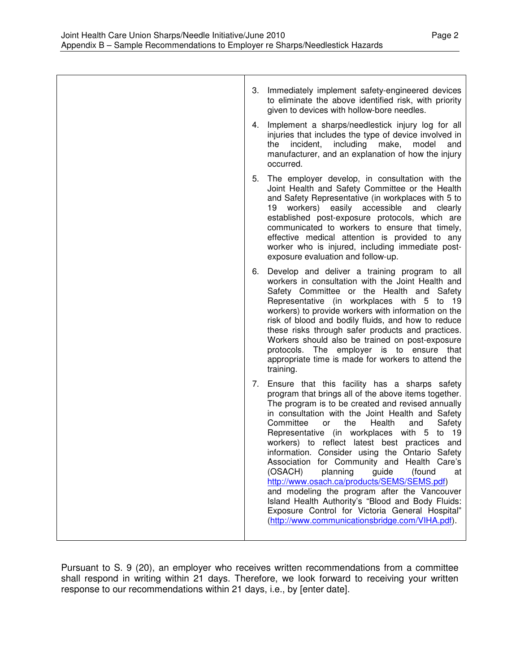Pursuant to S. 9 (20), an employer who receives written recommendations from a committee shall respond in writing within 21 days. Therefore, we look forward to receiving your written response to our recommendations within 21 days, i.e., by [enter date].